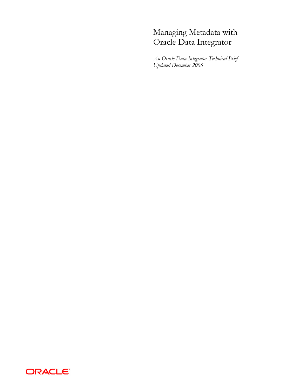# Managing Metadata with Oracle Data Integrator

*An Oracle Data Integrator Technical Brief Updated December 2006* 

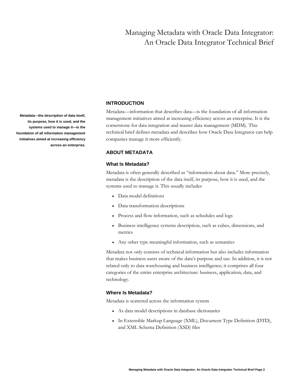# Managing Metadata with Oracle Data Integrator: An Oracle Data Integrator Technical Brief

#### **INTRODUCTION**

Metadata—information that describes data—is the foundation of all information management initiatives aimed at increasing efficiency across an enterprise. It is the cornerstone for data integration and master data management (MDM). This technical brief defines metadata and describes how Oracle Data Integrator can help companies manage it more efficiently.

# **ABOUT METADATA**

#### **What Is Metadata?**

Metadata is often generally described as "information about data." More precisely, metadata is the description of the data itself, its purpose, how it is used, and the systems used to manage it. This usually includes

- Data model definitions
- Data transformation descriptions
- Process and flow information, such as schedules and logs
- Business intelligence systems description, such as cubes, dimensions, and metrics
- Any other type meaningful information, such as semantics

Metadata not only consists of technical information but also includes information that makes business users aware of the data's purpose and use. In addition, it is not related only to data warehousing and business intelligence; it comprises all four categories of the entire enterprise architecture: business, application, data, and technology.

# **Where Is Metadata?**

Metadata is scattered across the information system

- As data model descriptions in database dictionaries
- In Extensible Markup Language (XML), Document Type Definition (DTD), and XML Schema Definition (XSD) files

**Metadata—the description of data itself, its purpose, how it is used, and the systems used to manage it—is the foundation of all information management initiatives aimed at increasing efficiency across an enterprise.**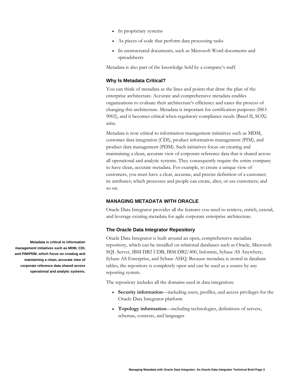- In proprietary systems
- As pieces of code that perform data processing tasks
- In unstructured documents, such as Microsoft Word documents and spreadsheets

Metadata is also part of the knowledge held by a company's staff.

### **Why Is Metadata Critical?**

You can think of metadata as the lines and points that draw the plan of the enterprise architecture. Accurate and comprehensive metadata enables organizations to evaluate their architecture's efficiency and eases the process of changing this architecture. Metadata is important for certification purposes (ISO-9002), and it becomes critical when regulatory compliance needs (Basel II, SOX) arise.

Metadata is now critical to information management initiatives such as MDM, customer data integration (CDI), product information management (PIM), and product data management (PDM). Such initiatives focus on creating and maintaining a clean, accurate view of corporate reference data that is shared across all operational and analytic systems. They consequently require the entire company to have clean, accurate metadata. For example, to create a unique view of customers, you must have a clear, accurate, and precise definition of a customer; its attributes; which processes and people can create, alter, or use customers; and so on.

# **MANAGING METADATA WITH ORACLE**

Oracle Data Integrator provides all the features you need to retrieve, enrich, extend, and leverage existing metadata for agile corporate enterprise architecture.

# **The Oracle Data Integrator Repository**

Oracle Data Integrator is built around an open, comprehensive metadata repository, which can be installed on relational databases such as Oracle, Microsoft SQL Server, IBM DB2 UDB, IBM DB2/400, Informix, Sybase AS Anywhere, Sybase AS Enterprise, and Sybase ASIQ. Because metadata is stored in database tables, the repository is completely open and can be used as a source by any reporting system.

The repository includes all the domains used in data integration:

- **Security information**—including users, profiles, and access privileges for the Oracle Data Integrator platform
- **Topology information**—including technologies, definitions of servers, schemas, contexts, and languages

**Metadata is critical to information management initiatives such as MDM, CDI, and PIM/PDM, which focus on creating and maintaining a clean, accurate view of corporate reference data shared across operational and analytic systems.**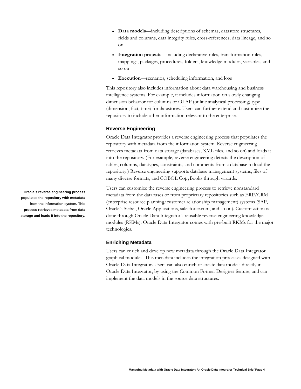- **Data models**—including descriptions of schemas, datastore structures, fields and columns, data integrity rules, cross-references, data lineage, and so on
- **Integration projects**—including declarative rules, transformation rules, mappings, packages, procedures, folders, knowledge modules, variables, and so on
- **Execution**—scenarios, scheduling information, and logs

This repository also includes information about data warehousing and business intelligence systems. For example, it includes information on slowly changing dimension behavior for columns or OLAP (online analytical processing) type (dimension, fact, time) for datastores. Users can further extend and customize the repository to include other information relevant to the enterprise.

#### **Reverse Engineering**

Oracle Data Integrator provides a reverse engineering process that populates the repository with metadata from the information system. Reverse engineering retrieves metadata from data storage (databases, XML files, and so on) and loads it into the repository. (For example, reverse engineering detects the description of tables, columns, datatypes, constraints, and comments from a database to load the repository.) Reverse engineering supports database management systems, files of many diverse formats, and COBOL CopyBooks through wizards.

Users can customize the reverse engineering process to retrieve nonstandard metadata from the databases or from proprietary repositories such as ERP/CRM (enterprise resource planning/customer relationship management) systems (SAP, Oracle's Siebel, Oracle Applications, salesforce.com, and so on). Customization is done through Oracle Data Integrator's reusable reverse engineering knowledge modules (RKMs). Oracle Data Integrator comes with pre-built RKMs for the major technologies.

#### **Enriching Metadata**

Users can enrich and develop new metadata through the Oracle Data Integrator graphical modules. This metadata includes the integration processes designed with Oracle Data Integrator. Users can also enrich or create data models directly in Oracle Data Integrator, by using the Common Format Designer feature, and can implement the data models in the source data structures.

**Oracle's reverse engineering process populates the repository with metadata from the information system. This process retrieves metadata from data storage and loads it into the repository.**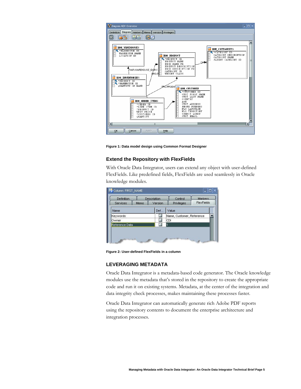

**Figure 1: Data model design using Common Format Designer** 

#### **Extend the Repository with FlexFields**

With Oracle Data Integrator, users can extend any object with user-defined FlexFields. Like predefined fields, FlexFields are used seamlessly in Oracle knowledge modules.

| Definition<br>Services<br>Memo | Description<br>Version | Control<br>Privileges     | Markers<br><b>FlexFields</b> |  |
|--------------------------------|------------------------|---------------------------|------------------------------|--|
| Name                           | Def.                   | Value                     |                              |  |
| Keywords                       |                        | Name, Customer, Reference |                              |  |
| Owner                          |                        | CDI                       |                              |  |
| Reference Data                 |                        |                           |                              |  |
|                                |                        |                           |                              |  |

**Figure 2: User-defined FlexFields in a column** 

#### **LEVERAGING METADATA**

Oracle Data Integrator is a metadata-based code generator. The Oracle knowledge modules use the metadata that's stored in the repository to create the appropriate code and run it on existing systems. Metadata, at the center of the integration and data integrity check processes, makes maintaining these processes faster.

Oracle Data Integrator can automatically generate rich Adobe PDF reports using the repository contents to document the enterprise architecture and integration processes.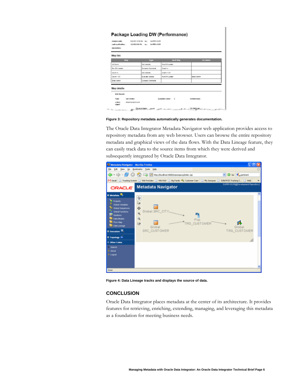# Package Loading DW (Performance)

| Lead-monthselline: 10:000 0:00 PM .: hps: 00:PERMOOR<br><b>Designations</b><br>Step list: |  |                         |                      |                    |  |  |
|-------------------------------------------------------------------------------------------|--|-------------------------|----------------------|--------------------|--|--|
|                                                                                           |  |                         |                      |                    |  |  |
| <b>Indicated</b>                                                                          |  | Det sterator            | <b>Rue OW Loader</b> |                    |  |  |
| Run Dill Lander                                                                           |  | Sunsepts Commond        | Court on             |                    |  |  |
| DOM NAME                                                                                  |  | DAT VERBER              | 0-SM1 4 1 ST         |                    |  |  |
| Double 1971                                                                               |  | Cratche listate.        | <b>Rue OW Loader</b> | <b>Castildonin</b> |  |  |
| <b>Dreat Admin</b>                                                                        |  | <b>Questes Domested</b> |                      |                    |  |  |

#### **Figure 3: Repository metadata automatically generates documentation.**

The Oracle Data Integrator Metadata Navigator web application provides access to repository metadata from any web browser. Users can browse the entire repository metadata and graphical views of the data flows. With the Data Lineage feature, they can easily track data to the source items from which they were derived and subsequently integrated by Oracle Data Integrator.



**Figure 4: Data Lineage tracks and displays the source of data.** 

# **CONCLUSION**

Oracle Data Integrator places metadata at the center of its architecture. It provides features for retrieving, enriching, extending, managing, and leveraging this metadata as a foundation for meeting business needs.